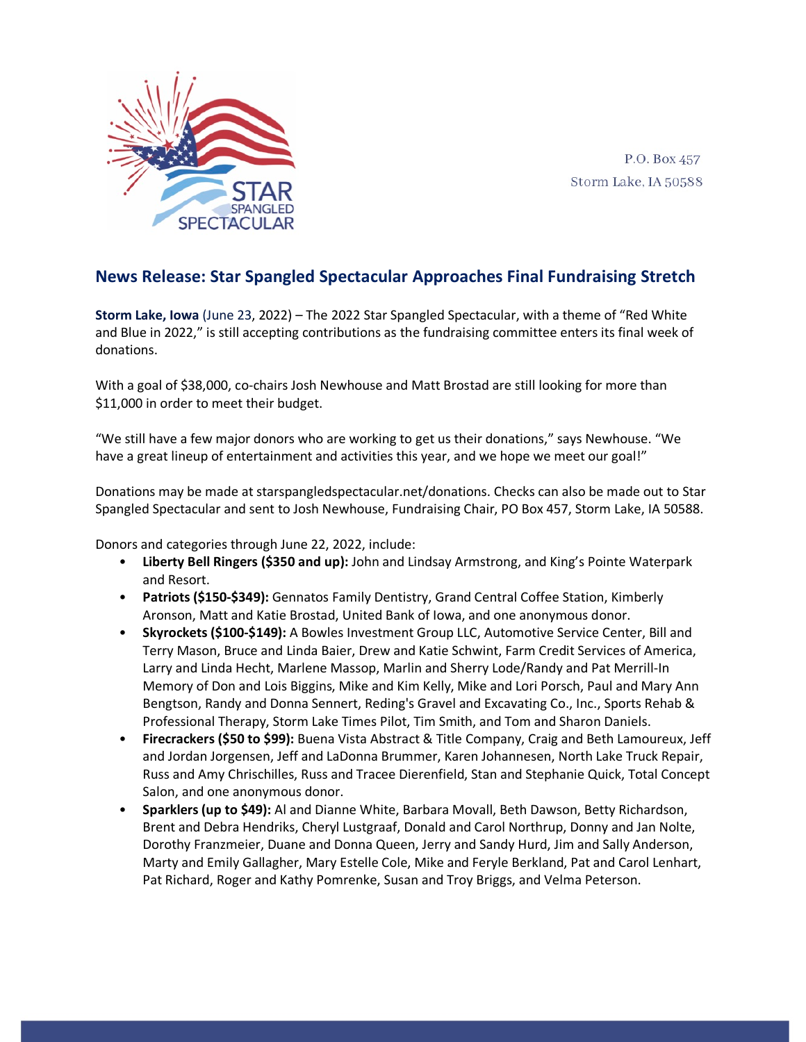

P.O. Box 457 Storm Lake, IA 50588

## **News Release: Star Spangled Spectacular Approaches Final Fundraising Stretch**

**Storm Lake, Iowa** (June 23, 2022) – The 2022 Star Spangled Spectacular, with a theme of "Red White and Blue in 2022," is still accepting contributions as the fundraising committee enters its final week of donations.

With a goal of \$38,000, co-chairs Josh Newhouse and Matt Brostad are still looking for more than \$11,000 in order to meet their budget.

"We still have a few major donors who are working to get us their donations," says Newhouse. "We have a great lineup of entertainment and activities this year, and we hope we meet our goal!"

Donations may be made at starspangledspectacular.net/donations. Checks can also be made out to Star Spangled Spectacular and sent to Josh Newhouse, Fundraising Chair, PO Box 457, Storm Lake, IA 50588.

Donors and categories through June 22, 2022, include:

- **Liberty Bell Ringers (\$350 and up):** John and Lindsay Armstrong, and King's Pointe Waterpark and Resort.
- **Patriots (\$150-\$349):** Gennatos Family Dentistry, Grand Central Coffee Station, Kimberly Aronson, Matt and Katie Brostad, United Bank of Iowa, and one anonymous donor.
- **Skyrockets (\$100-\$149):** A Bowles Investment Group LLC, Automotive Service Center, Bill and Terry Mason, Bruce and Linda Baier, Drew and Katie Schwint, Farm Credit Services of America, Larry and Linda Hecht, Marlene Massop, Marlin and Sherry Lode/Randy and Pat Merrill-In Memory of Don and Lois Biggins, Mike and Kim Kelly, Mike and Lori Porsch, Paul and Mary Ann Bengtson, Randy and Donna Sennert, Reding's Gravel and Excavating Co., Inc., Sports Rehab & Professional Therapy, Storm Lake Times Pilot, Tim Smith, and Tom and Sharon Daniels.
- **Firecrackers (\$50 to \$99):** Buena Vista Abstract & Title Company, Craig and Beth Lamoureux, Jeff and Jordan Jorgensen, Jeff and LaDonna Brummer, Karen Johannesen, North Lake Truck Repair, Russ and Amy Chrischilles, Russ and Tracee Dierenfield, Stan and Stephanie Quick, Total Concept Salon, and one anonymous donor.
- **Sparklers (up to \$49):** Al and Dianne White, Barbara Movall, Beth Dawson, Betty Richardson, Brent and Debra Hendriks, Cheryl Lustgraaf, Donald and Carol Northrup, Donny and Jan Nolte, Dorothy Franzmeier, Duane and Donna Queen, Jerry and Sandy Hurd, Jim and Sally Anderson, Marty and Emily Gallagher, Mary Estelle Cole, Mike and Feryle Berkland, Pat and Carol Lenhart, Pat Richard, Roger and Kathy Pomrenke, Susan and Troy Briggs, and Velma Peterson.